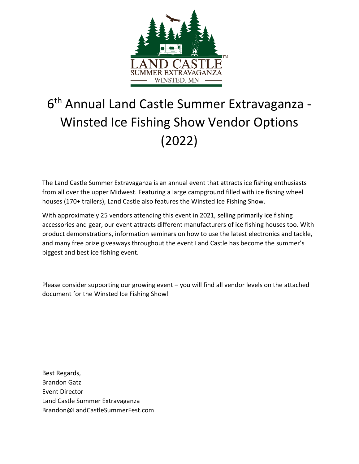

# 6 th Annual Land Castle Summer Extravaganza - Winsted Ice Fishing Show Vendor Options (2022)

The Land Castle Summer Extravaganza is an annual event that attracts ice fishing enthusiasts from all over the upper Midwest. Featuring a large campground filled with ice fishing wheel houses (170+ trailers), Land Castle also features the Winsted Ice Fishing Show.

With approximately 25 vendors attending this event in 2021, selling primarily ice fishing accessories and gear, our event attracts different manufacturers of ice fishing houses too. With product demonstrations, information seminars on how to use the latest electronics and tackle, and many free prize giveaways throughout the event Land Castle has become the summer's biggest and best ice fishing event.

Please consider supporting our growing event – you will find all vendor levels on the attached document for the Winsted Ice Fishing Show!

Best Regards, Brandon Gatz Event Director Land Castle Summer Extravaganza Brandon@LandCastleSummerFest.com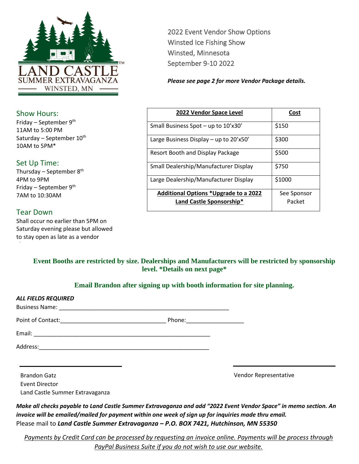

### Show Hours:

Friday – September 9th 11AM to 5:00 PM Saturday – September 10<sup>th</sup> 10AM to 5PM\*

## Set Up Time:

Thursday – September  $8<sup>th</sup>$ 4PM to 9PM Friday – September  $9<sup>th</sup>$ 7AM to 10:30AM

## Tear Down

Shall occur no earlier than 5PM on Saturday evening please but allowed to stay open as late as a vendor

2022 Event Vendor Show Options Winsted Ice Fishing Show Winsted, Minnesota September 9-10 2022

*Please see page 2 for more Vendor Package details.*

| 2022 Vendor Space Level                      | Cost        |  |
|----------------------------------------------|-------------|--|
| Small Business Spot - up to 10'x30'          | \$150       |  |
| Large Business Display - up to $20'x50'$     | \$300       |  |
| Resort Booth and Display Package             | \$500       |  |
| Small Dealership/Manufacturer Display        | \$750       |  |
| Large Dealership/Manufacturer Display        | \$1000      |  |
| <b>Additional Options *Upgrade to a 2022</b> | See Sponsor |  |
| Land Castle Sponsorship*                     | Packet      |  |

### **Event Booths are restricted by size. Dealerships and Manufacturers will be restricted by sponsorship level. \*Details on next page\***

## **Email Brandon after signing up with booth information for site planning.**

| <b>ALL FIELDS REQUIRED</b>                                                                                      |                                |                                                                                                                  |
|-----------------------------------------------------------------------------------------------------------------|--------------------------------|------------------------------------------------------------------------------------------------------------------|
|                                                                                                                 | Phone: _______________________ |                                                                                                                  |
|                                                                                                                 |                                |                                                                                                                  |
|                                                                                                                 |                                |                                                                                                                  |
| <b>Brandon Gatz</b>                                                                                             |                                | Vendor Representative                                                                                            |
| Event Director                                                                                                  |                                |                                                                                                                  |
| Land Castle Summer Extravaganza                                                                                 |                                |                                                                                                                  |
| 1000 - 1000 - 1000 - 1000 - 1000 - 1000 - 1000 - 1000 - 1000 - 1000 - 1000 - 1000 - 1000 - 1000 - 1000 - 1000 - |                                | Make all checks payable to Land Castle Summer Extravaganza and add "2022 Event Vendor Space" in memo section. An |

*invoice will be emailed/mailed for payment within one week of sign up for inquiries made thru email.* Please mail to *Land Castle Summer Extravaganza – P.O. BOX 7421, Hutchinson, MN 55350*

*Payments by Credit Card can be processed by requesting an invoice online. Payments will be process through PayPal Business Suite if you do not wish to use our website.*